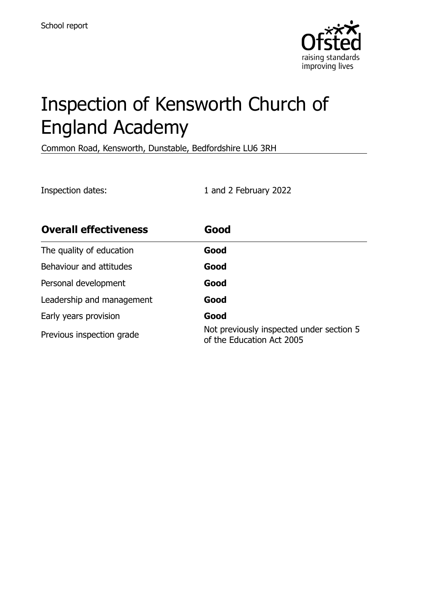

# Inspection of Kensworth Church of England Academy

Common Road, Kensworth, Dunstable, Bedfordshire LU6 3RH

Inspection dates: 1 and 2 February 2022

| <b>Overall effectiveness</b> | Good                                                                  |
|------------------------------|-----------------------------------------------------------------------|
| The quality of education     | Good                                                                  |
| Behaviour and attitudes      | Good                                                                  |
| Personal development         | Good                                                                  |
| Leadership and management    | Good                                                                  |
| Early years provision        | Good                                                                  |
| Previous inspection grade    | Not previously inspected under section 5<br>of the Education Act 2005 |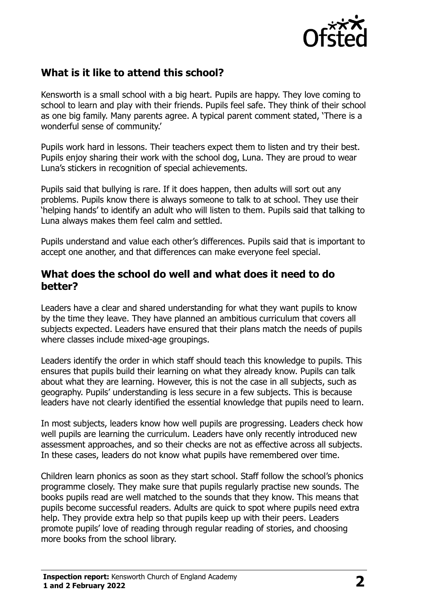

# **What is it like to attend this school?**

Kensworth is a small school with a big heart. Pupils are happy. They love coming to school to learn and play with their friends. Pupils feel safe. They think of their school as one big family. Many parents agree. A typical parent comment stated, 'There is a wonderful sense of community.'

Pupils work hard in lessons. Their teachers expect them to listen and try their best. Pupils enjoy sharing their work with the school dog, Luna. They are proud to wear Luna's stickers in recognition of special achievements.

Pupils said that bullying is rare. If it does happen, then adults will sort out any problems. Pupils know there is always someone to talk to at school. They use their 'helping hands' to identify an adult who will listen to them. Pupils said that talking to Luna always makes them feel calm and settled.

Pupils understand and value each other's differences. Pupils said that is important to accept one another, and that differences can make everyone feel special.

#### **What does the school do well and what does it need to do better?**

Leaders have a clear and shared understanding for what they want pupils to know by the time they leave. They have planned an ambitious curriculum that covers all subjects expected. Leaders have ensured that their plans match the needs of pupils where classes include mixed-age groupings.

Leaders identify the order in which staff should teach this knowledge to pupils. This ensures that pupils build their learning on what they already know. Pupils can talk about what they are learning. However, this is not the case in all subjects, such as geography. Pupils' understanding is less secure in a few subjects. This is because leaders have not clearly identified the essential knowledge that pupils need to learn.

In most subjects, leaders know how well pupils are progressing. Leaders check how well pupils are learning the curriculum. Leaders have only recently introduced new assessment approaches, and so their checks are not as effective across all subjects. In these cases, leaders do not know what pupils have remembered over time.

Children learn phonics as soon as they start school. Staff follow the school's phonics programme closely. They make sure that pupils regularly practise new sounds. The books pupils read are well matched to the sounds that they know. This means that pupils become successful readers. Adults are quick to spot where pupils need extra help. They provide extra help so that pupils keep up with their peers. Leaders promote pupils' love of reading through regular reading of stories, and choosing more books from the school library.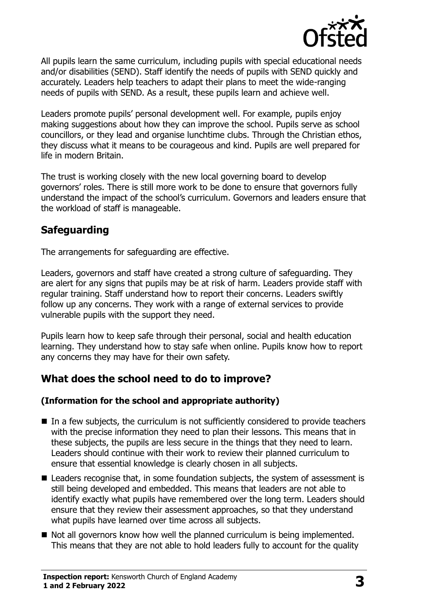

All pupils learn the same curriculum, including pupils with special educational needs and/or disabilities (SEND). Staff identify the needs of pupils with SEND quickly and accurately. Leaders help teachers to adapt their plans to meet the wide-ranging needs of pupils with SEND. As a result, these pupils learn and achieve well.

Leaders promote pupils' personal development well. For example, pupils enjoy making suggestions about how they can improve the school. Pupils serve as school councillors, or they lead and organise lunchtime clubs. Through the Christian ethos, they discuss what it means to be courageous and kind. Pupils are well prepared for life in modern Britain.

The trust is working closely with the new local governing board to develop governors' roles. There is still more work to be done to ensure that governors fully understand the impact of the school's curriculum. Governors and leaders ensure that the workload of staff is manageable.

# **Safeguarding**

The arrangements for safeguarding are effective.

Leaders, governors and staff have created a strong culture of safeguarding. They are alert for any signs that pupils may be at risk of harm. Leaders provide staff with regular training. Staff understand how to report their concerns. Leaders swiftly follow up any concerns. They work with a range of external services to provide vulnerable pupils with the support they need.

Pupils learn how to keep safe through their personal, social and health education learning. They understand how to stay safe when online. Pupils know how to report any concerns they may have for their own safety.

# **What does the school need to do to improve?**

#### **(Information for the school and appropriate authority)**

- In a few subjects, the curriculum is not sufficiently considered to provide teachers with the precise information they need to plan their lessons. This means that in these subjects, the pupils are less secure in the things that they need to learn. Leaders should continue with their work to review their planned curriculum to ensure that essential knowledge is clearly chosen in all subjects.
- Leaders recognise that, in some foundation subjects, the system of assessment is still being developed and embedded. This means that leaders are not able to identify exactly what pupils have remembered over the long term. Leaders should ensure that they review their assessment approaches, so that they understand what pupils have learned over time across all subjects.
- Not all governors know how well the planned curriculum is being implemented. This means that they are not able to hold leaders fully to account for the quality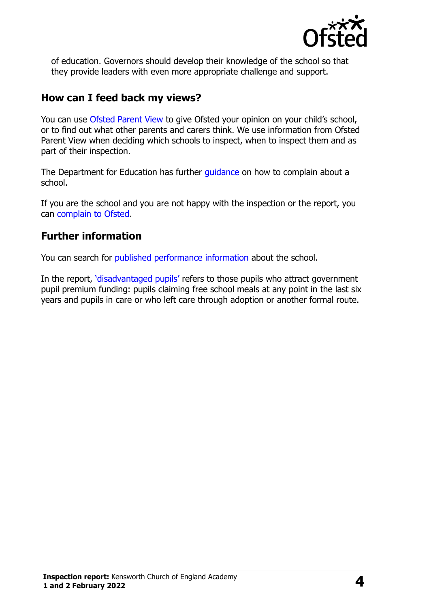

of education. Governors should develop their knowledge of the school so that they provide leaders with even more appropriate challenge and support.

## **How can I feed back my views?**

You can use [Ofsted Parent View](http://parentview.ofsted.gov.uk/) to give Ofsted your opinion on your child's school, or to find out what other parents and carers think. We use information from Ofsted Parent View when deciding which schools to inspect, when to inspect them and as part of their inspection.

The Department for Education has further quidance on how to complain about a school.

If you are the school and you are not happy with the inspection or the report, you can [complain to Ofsted.](http://www.gov.uk/complain-ofsted-report)

## **Further information**

You can search for [published performance information](http://www.compare-school-performance.service.gov.uk/) about the school.

In the report, '[disadvantaged pupils](http://www.gov.uk/guidance/pupil-premium-information-for-schools-and-alternative-provision-settings)' refers to those pupils who attract government pupil premium funding: pupils claiming free school meals at any point in the last six years and pupils in care or who left care through adoption or another formal route.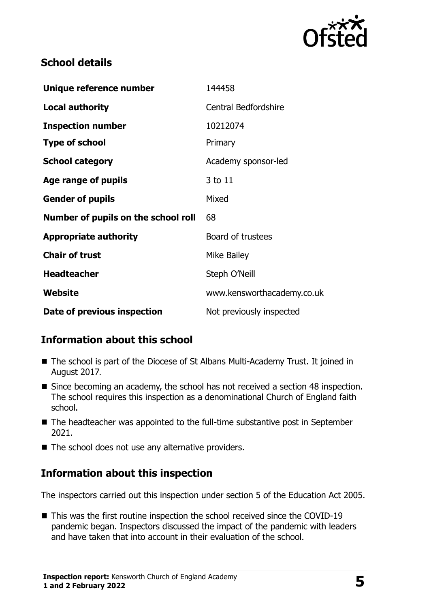

## **School details**

| Unique reference number             | 144458                      |
|-------------------------------------|-----------------------------|
| <b>Local authority</b>              | <b>Central Bedfordshire</b> |
| <b>Inspection number</b>            | 10212074                    |
| <b>Type of school</b>               | Primary                     |
| <b>School category</b>              | Academy sponsor-led         |
| Age range of pupils                 | 3 to 11                     |
| <b>Gender of pupils</b>             | Mixed                       |
| Number of pupils on the school roll | 68                          |
| <b>Appropriate authority</b>        | Board of trustees           |
| <b>Chair of trust</b>               | Mike Bailey                 |
| <b>Headteacher</b>                  | Steph O'Neill               |
| Website                             | www.kensworthacademy.co.uk  |
| Date of previous inspection         | Not previously inspected    |

# **Information about this school**

- The school is part of the Diocese of St Albans Multi-Academy Trust. It joined in August 2017.
- Since becoming an academy, the school has not received a section 48 inspection. The school requires this inspection as a denominational Church of England faith school.
- The headteacher was appointed to the full-time substantive post in September 2021.
- The school does not use any alternative providers.

# **Information about this inspection**

The inspectors carried out this inspection under section 5 of the Education Act 2005.

■ This was the first routine inspection the school received since the COVID-19 pandemic began. Inspectors discussed the impact of the pandemic with leaders and have taken that into account in their evaluation of the school.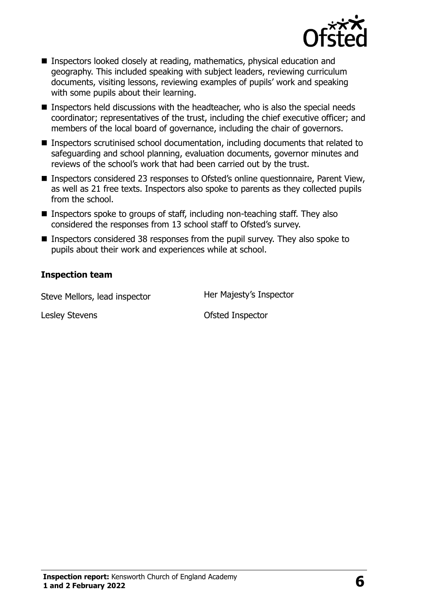

- Inspectors looked closely at reading, mathematics, physical education and geography. This included speaking with subject leaders, reviewing curriculum documents, visiting lessons, reviewing examples of pupils' work and speaking with some pupils about their learning.
- Inspectors held discussions with the headteacher, who is also the special needs coordinator; representatives of the trust, including the chief executive officer; and members of the local board of governance, including the chair of governors.
- Inspectors scrutinised school documentation, including documents that related to safeguarding and school planning, evaluation documents, governor minutes and reviews of the school's work that had been carried out by the trust.
- Inspectors considered 23 responses to Ofsted's online questionnaire, Parent View, as well as 21 free texts. Inspectors also spoke to parents as they collected pupils from the school.
- Inspectors spoke to groups of staff, including non-teaching staff. They also considered the responses from 13 school staff to Ofsted's survey.
- Inspectors considered 38 responses from the pupil survey. They also spoke to pupils about their work and experiences while at school.

#### **Inspection team**

Steve Mellors, lead inspector **Her Majesty's Inspector** 

Lesley Stevens **Contact Contact Contact Contact Contact Contact Contact Contact Contact Contact Contact Contact Contact Contact Contact Contact Contact Contact Contact Contact Contact Contact Contact Contact Contact Contac**